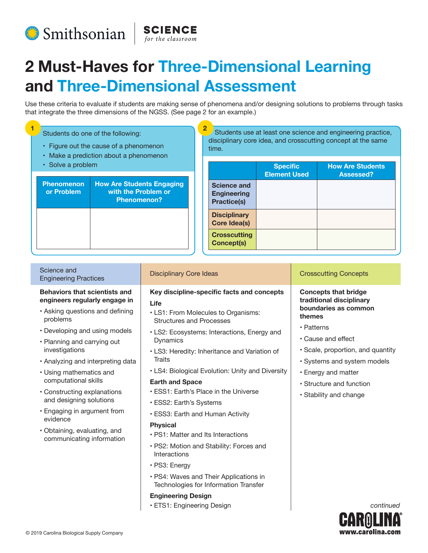



## **2 Must-Haves for Three-Dimensional Learning and Three-Dimensional Assessment**

Use these criteria to evaluate if students are making sense of phenomena and/or designing solutions to problems through tasks that integrate the three dimensions of the NGSS. (See page 2 for an example.)

## **1 Students do one of the following:**

- Figure out the cause of a phenomenon
- Make a prediction about a phenomenon
- Solve a problem

| <b>Phenomenon</b><br>or Problem | <b>How Are Students Engaging</b><br>with the Problem or<br><b>Phenomenon?</b> |
|---------------------------------|-------------------------------------------------------------------------------|
|                                 |                                                                               |
|                                 |                                                                               |

Students use at least one science and engineering practice, disciplinary core idea, and crosscutting concept at the same time.

|                                                                | <b>Specific</b><br><b>Element Used</b> | <b>How Are Students</b><br>Assessed? |
|----------------------------------------------------------------|----------------------------------------|--------------------------------------|
| <b>Science and</b><br><b>Engineering</b><br><b>Practice(s)</b> |                                        |                                      |
| <b>Disciplinary</b><br><b>Core Idea(s)</b>                     |                                        |                                      |
| <b>Crosscutting</b><br>Concept(s)                              |                                        |                                      |

| Science and<br><b>Engineering Practices</b>                                                                                                           | <b>Disciplinary Core Ideas</b>                                                                                                                                              | <b>Crosscutting Concepts</b>                                                                             |
|-------------------------------------------------------------------------------------------------------------------------------------------------------|-----------------------------------------------------------------------------------------------------------------------------------------------------------------------------|----------------------------------------------------------------------------------------------------------|
| <b>Behaviors that scientists and</b><br>engineers regularly engage in<br>• Asking questions and defining<br>problems<br>• Developing and using models | Key discipline-specific facts and concepts<br>Life<br>• LS1: From Molecules to Organisms:<br><b>Structures and Processes</b><br>• LS2: Ecosystems: Interactions, Energy and | <b>Concepts that bridge</b><br>traditional disciplinary<br>boundaries as common<br>themes<br>• Patterns  |
| • Planning and carrying out<br>investigations                                                                                                         | Dynamics<br>• LS3: Heredity: Inheritance and Variation of                                                                                                                   | • Cause and effect<br>· Scale, proportion, and quantity                                                  |
| • Analyzing and interpreting data<br>• Using mathematics and<br>computational skills                                                                  | Traits<br>• LS4: Biological Evolution: Unity and Diversity<br><b>Earth and Space</b>                                                                                        | • Systems and system models<br>• Energy and matter<br>• Structure and function<br>• Stability and change |
| • Constructing explanations<br>and designing solutions                                                                                                | • ESS1: Earth's Place in the Universe<br>• ESS2: Earth's Systems                                                                                                            |                                                                                                          |
| • Engaging in argument from<br>evidence<br>• Obtaining, evaluating, and<br>communicating information                                                  | • ESS3: Earth and Human Activity<br><b>Physical</b><br>• PS1: Matter and Its Interactions<br>· PS2: Motion and Stability: Forces and<br>Interactions<br>• PS3: Energy       |                                                                                                          |
|                                                                                                                                                       | • PS4: Waves and Their Applications in                                                                                                                                      |                                                                                                          |

Technologies for Information Transfer

**Engineering Design** • ETS1: Engineering Design